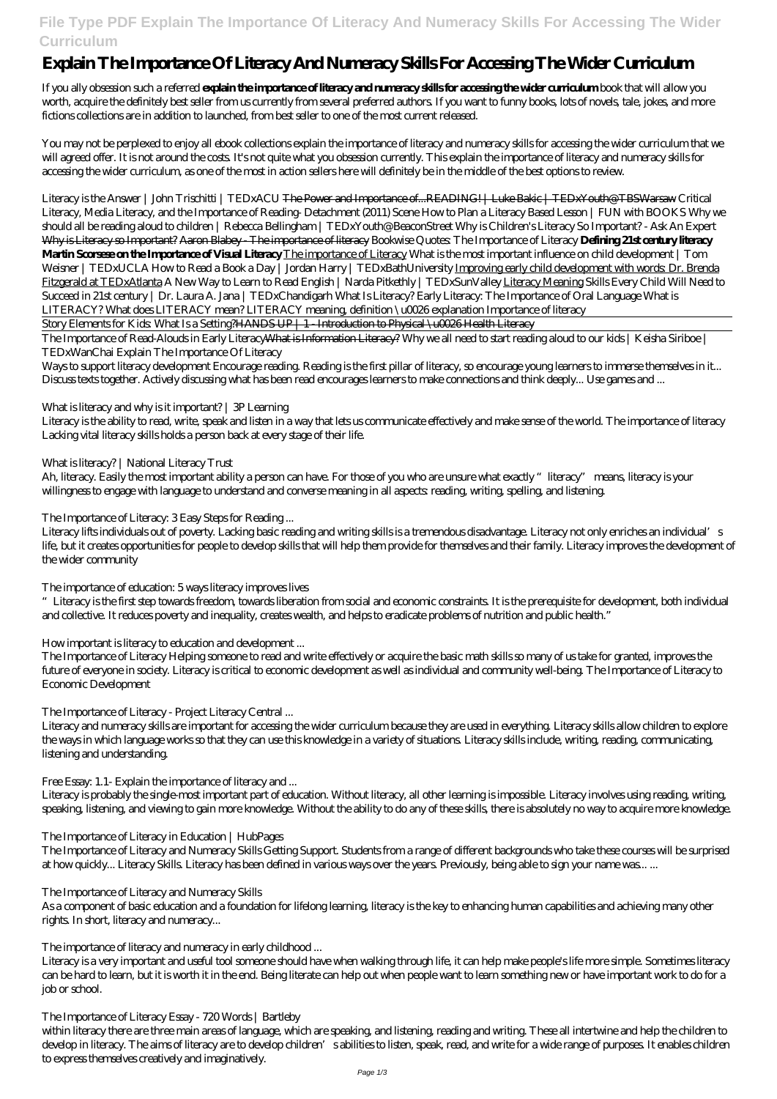# **File Type PDF Explain The Importance Of Literacy And Numeracy Skills For Accessing The Wider Curriculum**

# **Explain The Importance Of Literacy And Numeracy Skills For Accessing The Wider Curriculum**

If you ally obsession such a referred **explain the importance of literacy and numeracy skills for accessing the wider curriculum** book that will allow you worth, acquire the definitely best seller from us currently from several preferred authors. If you want to funny books, lots of novels, tale, jokes, and more fictions collections are in addition to launched, from best seller to one of the most current released.

You may not be perplexed to enjoy all ebook collections explain the importance of literacy and numeracy skills for accessing the wider curriculum that we will agreed offer. It is not around the costs. It's not quite what you obsession currently. This explain the importance of literacy and numeracy skills for accessing the wider curriculum, as one of the most in action sellers here will definitely be in the middle of the best options to review.

Literacy is the Answer | John Trischitti | TEDxACU The Power and Importance of...READING! | Luke Bakic | TEDxYouth@TBSWarsaw *Critical Literacy, Media Literacy, and the Importance of Reading- Detachment (2011) Scene How to Plan a Literacy Based Lesson | FUN with BOOKS Why we should all be reading aloud to children | Rebecca Bellingham | TEDxYouth@BeaconStreet Why is Children's Literacy So Important? - Ask An Expert* Why is Literacy so Important? Aaron Blabey - The importance of literacy *Bookwise Quotes: The Importance of Literacy* **Defining 21st century literacy Martin Scorsese on the Importance of Visual Literacy** The importance of Literacy What is the most important influence on child development | Tom Weisner | TEDxUCLA How to Read a Book a Day | Jordan Harry | TEDxBathUniversity Improving early child development with words: Dr. Brenda Fitzgerald at TEDxAtlanta A New Way to Learn to Read English | Narda Pitkethly | TEDxSunValley Literacy Meaning *Skills Every Child Will Need to Succeed in 21st century | Dr. Laura A. Jana | TEDxChandigarh What Is Literacy? Early Literacy: The Importance of Oral Language What is LITERACY? What does LITERACY mean? LITERACY meaning, definition \u0026 explanation* Importance of literacy

Story Elements for Kids: What Is a Setting?HANDS UP | 1 - Introduction to Physical \u0026 Health Literacy

Ah, literacy. Easily the most important ability a person can have. For those of you who are unsure what exactly "literacy" means, literacy is your willingness to engage with language to understand and converse meaning in all aspects: reading, writing, spelling, and listening.

Literacy lifts individuals out of poverty. Lacking basic reading and writing skills is a tremendous disadvantage. Literacy not only enriches an individual's life, but it creates opportunities for people to develop skills that will help them provide for themselves and their family. Literacy improves the development of the wider community

The Importance of Read-Alouds in Early LiteracyWhat is Information Literacy? *Why we all need to start reading aloud to our kids | Keisha Siriboe | TEDxWanChai Explain The Importance Of Literacy*

The Importance of Literacy and Numeracy Skills Getting Support. Students from a range of different backgrounds who take these courses will be surprised at how quickly... Literacy Skills. Literacy has been defined in various ways over the years. Previously, being able to sign your name was.....

Ways to support literacy development Encourage reading. Reading is the first pillar of literacy, so encourage young learners to immerse themselves in it... Discuss texts together. Actively discussing what has been read encourages learners to make connections and think deeply... Use games and ...

## *What is literacy and why is it important? | 3P Learning*

Literacy is the ability to read, write, speak and listen in a way that lets us communicate effectively and make sense of the world. The importance of literacy Lacking vital literacy skills holds a person back at every stage of their life.

## *What is literacy? | National Literacy Trust*

# *The Importance of Literacy: 3 Easy Steps for Reading ...*

## *The importance of education: 5 ways literacy improves lives*

"Literacy is the first step towards freedom, towards liberation from social and economic constraints. It is the prerequisite for development, both individual and collective. It reduces poverty and inequality, creates wealth, and helps to eradicate problems of nutrition and public health."

# *How important is literacy to education and development ...*

The Importance of Literacy Helping someone to read and write effectively or acquire the basic math skills so many of us take for granted, improves the future of everyone in society. Literacy is critical to economic development as well as individual and community well-being. The Importance of Literacy to Economic Development

# *The Importance of Literacy - Project Literacy Central ...*

Literacy and numeracy skills are important for accessing the wider curriculum because they are used in everything. Literacy skills allow children to explore the ways in which language works so that they can use this knowledge in a variety of situations. Literacy skills include, writing, reading, communicating, listening and understanding.

# *Free Essay: 1.1- Explain the importance of literacy and ...*

Literacy is probably the single-most important part of education. Without literacy, all other learning is impossible. Literacy involves using reading, writing, speaking, listening, and viewing to gain more knowledge. Without the ability to do any of these skills, there is absolutely no way to acquire more knowledge.

#### *The Importance of Literacy in Education | HubPages*

### *The Importance of Literacy and Numeracy Skills*

As a component of basic education and a foundation for lifelong learning, literacy is the key to enhancing human capabilities and achieving many other rights. In short, literacy and numeracy...

### *The importance of literacy and numeracy in early childhood ...*

Literacy is a very important and useful tool someone should have when walking through life, it can help make people's life more simple. Sometimes literacy can be hard to learn, but it is worth it in the end. Being literate can help out when people want to learn something new or have important work to do for a job or school.

#### *The Importance of Literacy Essay - 720 Words | Bartleby*

within literacy there are three main areas of language, which are speaking, and listening, reading and writing. These all intertwine and help the children to develop in literacy. The aims of literacy are to develop children's abilities to listen, speak, read, and write for a wide range of purposes. It enables children to express themselves creatively and imaginatively.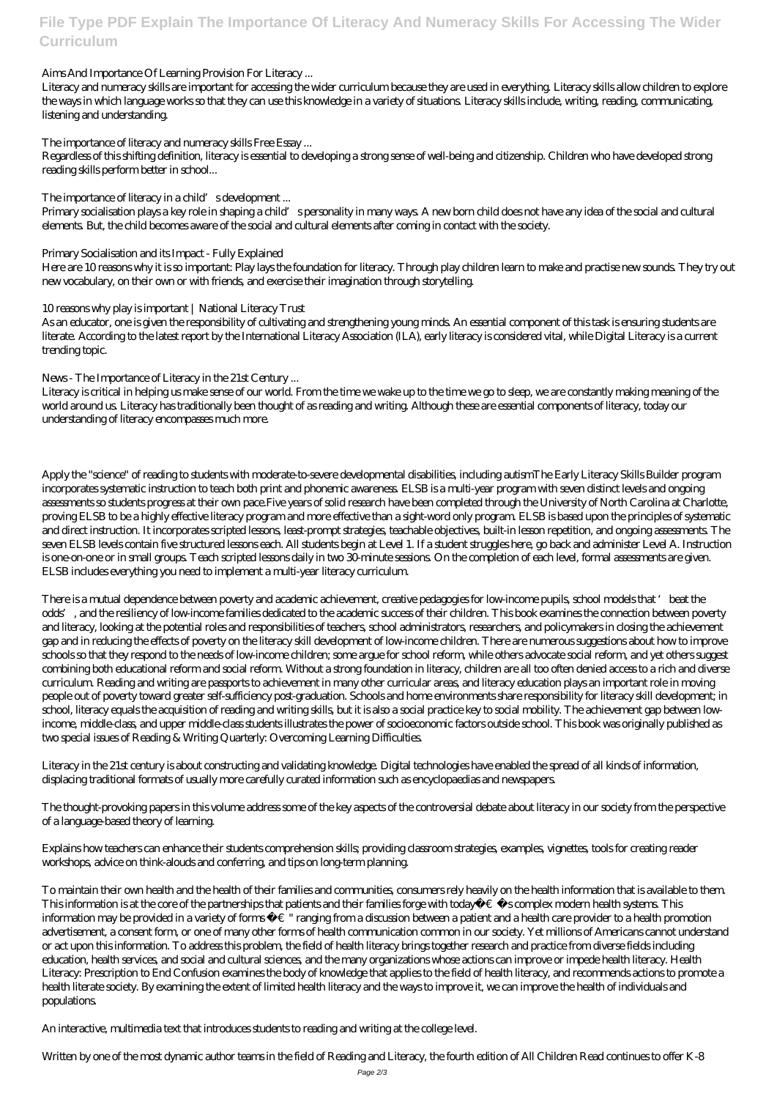# **File Type PDF Explain The Importance Of Literacy And Numeracy Skills For Accessing The Wider Curriculum**

### *Aims And Importance Of Learning Provision For Literacy ...*

Literacy and numeracy skills are important for accessing the wider curriculum because they are used in everything. Literacy skills allow children to explore the ways in which language works so that they can use this knowledge in a variety of situations. Literacy skills include, writing, reading, communicating, listening and understanding.

### *The importance of literacy and numeracy skills Free Essay ...*

Regardless of this shifting definition, literacy is essential to developing a strong sense of well-being and citizenship. Children who have developed strong reading skills perform better in school...

### *The importance of literacy in a child's development ...*

Primary socialisation plays a key role in shaping a child's personality in many ways. A new born child does not have any idea of the social and cultural elements. But, the child becomes aware of the social and cultural elements after coming in contact with the society.

#### *Primary Socialisation and its Impact - Fully Explained*

Here are 10 reasons why it is so important: Play lays the foundation for literacy. Through play children learn to make and practise new sounds. They try out new vocabulary, on their own or with friends, and exercise their imagination through storytelling.

#### *10 reasons why play is important | National Literacy Trust*

As an educator, one is given the responsibility of cultivating and strengthening young minds. An essential component of this task is ensuring students are literate. According to the latest report by the International Literacy Association (ILA), early literacy is considered vital, while Digital Literacy is a current trending topic.

### *News - The Importance of Literacy in the 21st Century ...*

Literacy is critical in helping us make sense of our world. From the time we wake up to the time we go to sleep, we are constantly making meaning of the world around us. Literacy has traditionally been thought of as reading and writing. Although these are essential components of literacy, today our understanding of literacy encompasses much more.

Apply the "science" of reading to students with moderate-to-severe developmental disabilities, including autismThe Early Literacy Skills Builder program incorporates systematic instruction to teach both print and phonemic awareness. ELSB is a multi-year program with seven distinct levels and ongoing assessments so students progress at their own pace.Five years of solid research have been completed through the University of North Carolina at Charlotte, proving ELSB to be a highly effective literacy program and more effective than a sight-word only program. ELSB is based upon the principles of systematic and direct instruction. It incorporates scripted lessons, least-prompt strategies, teachable objectives, built-in lesson repetition, and ongoing assessments. The seven ELSB levels contain five structured lessons each. All students begin at Level 1. If a student struggles here, go back and administer Level A. Instruction is one-on-one or in small groups. Teach scripted lessons daily in two 30-minute sessions. On the completion of each level, formal assessments are given. ELSB includes everything you need to implement a multi-year literacy curriculum.

There is a mutual dependence between poverty and academic achievement, creative pedagogies for low-income pupils, school models that 'beat the odds', and the resiliency of low-income families dedicated to the academic success of their children. This book examines the connection between poverty and literacy, looking at the potential roles and responsibilities of teachers, school administrators, researchers, and policymakers in closing the achievement gap and in reducing the effects of poverty on the literacy skill development of low-income children. There are numerous suggestions about how to improve schools so that they respond to the needs of low-income children; some argue for school reform, while others advocate social reform, and yet others suggest combining both educational reform and social reform. Without a strong foundation in literacy, children are all too often denied access to a rich and diverse curriculum. Reading and writing are passports to achievement in many other curricular areas, and literacy education plays an important role in moving people out of poverty toward greater self-sufficiency post-graduation. Schools and home environments share responsibility for literacy skill development; in school, literacy equals the acquisition of reading and writing skills, but it is also a social practice key to social mobility. The achievement gap between lowincome, middle-class, and upper middle-class students illustrates the power of socioeconomic factors outside school. This book was originally published as two special issues of Reading & Writing Quarterly: Overcoming Learning Difficulties.

Literacy in the 21st century is about constructing and validating knowledge. Digital technologies have enabled the spread of all kinds of information, displacing traditional formats of usually more carefully curated information such as encyclopaedias and newspapers.

The thought-provoking papers in this volume address some of the key aspects of the controversial debate about literacy in our society from the perspective of a language-based theory of learning.

Explains how teachers can enhance their students comprehension skills; providing classroom strategies, examples, vignettes, tools for creating reader workshops, advice on think-alouds and conferring, and tips on long-term planning.

To maintain their own health and the health of their families and communities, consumers rely heavily on the health information that is available to them. This information is at the core of the partnerships that patients and their families forge with todayâ  $\in \mathbb{M}$ s complex modern health systems. This information may be provided in a variety of forms  $\hat{a}\in$  " ranging from a discussion between a patient and a health care provider to a health promotion advertisement, a consent form, or one of many other forms of health communication common in our society. Yet millions of Americans cannot understand or act upon this information. To address this problem, the field of health literacy brings together research and practice from diverse fields including education, health services, and social and cultural sciences, and the many organizations whose actions can improve or impede health literacy. Health Literacy: Prescription to End Confusion examines the body of knowledge that applies to the field of health literacy, and recommends actions to promote a health literate society. By examining the extent of limited health literacy and the ways to improve it, we can improve the health of individuals and populations.

An interactive, multimedia text that introduces students to reading and writing at the college level.

Written by one of the most dynamic author teams in the field of Reading and Literacy, the fourth edition of All Children Read continues to offer K-8 Page 2/3